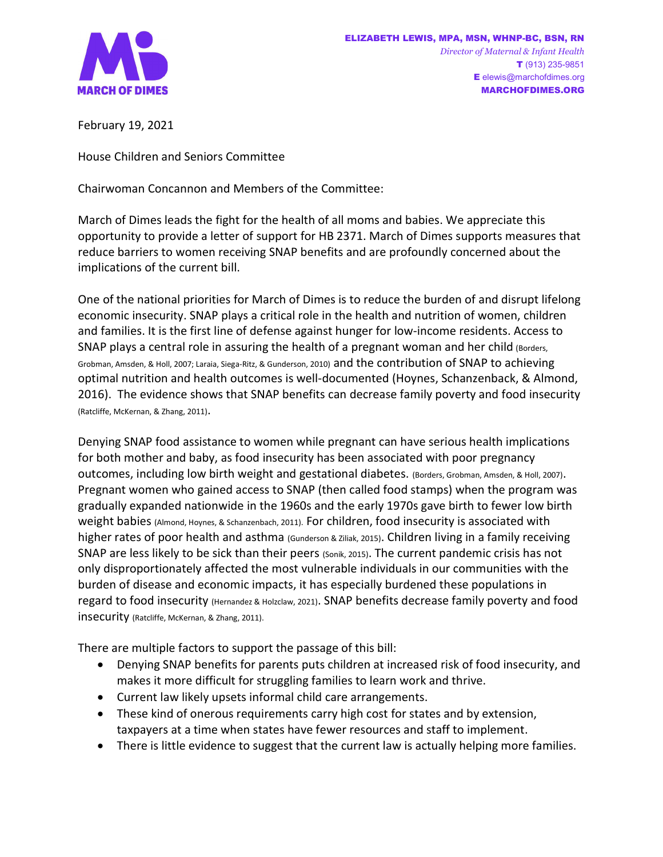

February 19, 2021

House Children and Seniors Committee

Chairwoman Concannon and Members of the Committee:

March of Dimes leads the fight for the health of all moms and babies. We appreciate this opportunity to provide a letter of support for HB 2371. March of Dimes supports measures that reduce barriers to women receiving SNAP benefits and are profoundly concerned about the implications of the current bill.

One of the national priorities for March of Dimes is to reduce the burden of and disrupt lifelong economic insecurity. SNAP plays a critical role in the health and nutrition of women, children and families. It is the first line of defense against hunger for low-income residents. Access to SNAP plays a central role in assuring the health of a pregnant woman and her child (Borders, Grobman, Amsden, & Holl, 2007; Laraia, Siega-Ritz, & Gunderson, 2010) and the contribution of SNAP to achieving optimal nutrition and health outcomes is well-documented (Hoynes, Schanzenback, & Almond, 2016). The evidence shows that SNAP benefits can decrease family poverty and food insecurity (Ratcliffe, McKernan, & Zhang, 2011).

Denying SNAP food assistance to women while pregnant can have serious health implications for both mother and baby, as food insecurity has been associated with poor pregnancy outcomes, including low birth weight and gestational diabetes. (Borders, Grobman, Amsden, & Holl, 2007). Pregnant women who gained access to SNAP (then called food stamps) when the program was gradually expanded nationwide in the 1960s and the early 1970s gave birth to fewer low birth weight babies (Almond, Hoynes, & Schanzenbach, 2011). For children, food insecurity is associated with higher rates of poor health and asthma (Gunderson & Ziliak, 2015). Children living in a family receiving SNAP are less likely to be sick than their peers (Sonik, 2015). The current pandemic crisis has not only disproportionately affected the most vulnerable individuals in our communities with the burden of disease and economic impacts, it has especially burdened these populations in regard to food insecurity (Hernandez & Holzclaw, 2021). SNAP benefits decrease family poverty and food insecurity (Ratcliffe, McKernan, & Zhang, 2011).

There are multiple factors to support the passage of this bill:

- Denying SNAP benefits for parents puts children at increased risk of food insecurity, and makes it more difficult for struggling families to learn work and thrive.
- Current law likely upsets informal child care arrangements.
- These kind of onerous requirements carry high cost for states and by extension, taxpayers at a time when states have fewer resources and staff to implement.
- There is little evidence to suggest that the current law is actually helping more families.